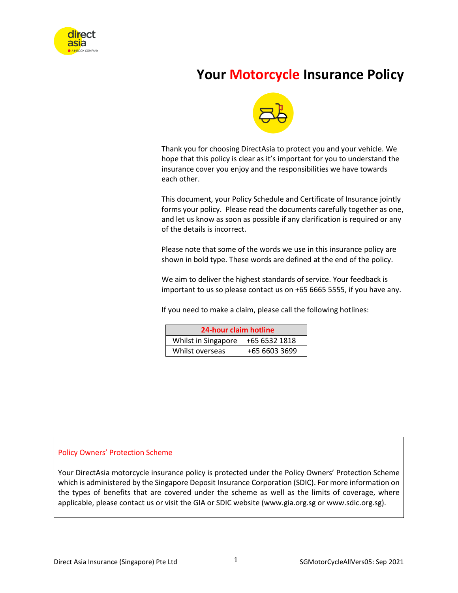

# **Your Motorcycle Insurance Policy**



Thank you for choosing DirectAsia to protect you and your vehicle. We hope that this policy is clear as it's important for you to understand the insurance cover you enjoy and the responsibilities we have towards each other.

This document, your Policy Schedule and Certificate of Insurance jointly forms your policy. Please read the documents carefully together as one, and let us know as soon as possible if any clarification is required or any of the details is incorrect.

Please note that some of the words we use in this insurance policy are shown in bold type. These words are defined at the end of the policy.

We aim to deliver the highest standards of service. Your feedback is important to us so please contact us on +65 6665 5555, if you have any.

If you need to make a claim, please call the following hotlines:

| 24-hour claim hotline |               |  |
|-----------------------|---------------|--|
| Whilst in Singapore   | +65 6532 1818 |  |
| Whilst overseas       | +65 6603 3699 |  |

#### Policy Owners' Protection Scheme

Your DirectAsia motorcycle insurance policy is protected under the Policy Owners' Protection Scheme which is administered by the Singapore Deposit Insurance Corporation (SDIC). For more information on the types of benefits that are covered under the scheme as well as the limits of coverage, where applicable, please contact us or visit the GIA or SDIC website (www.gia.org.sg or www.sdic.org.sg).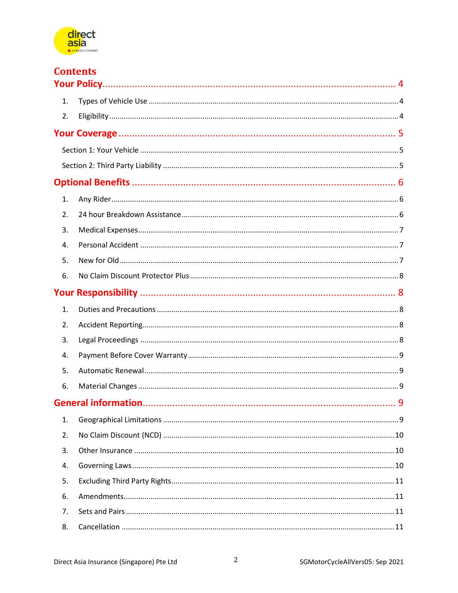

|    | <b>Contents</b> |
|----|-----------------|
| 1. |                 |
|    |                 |
| 2. |                 |
|    |                 |
|    |                 |
|    |                 |
|    |                 |
| 1. |                 |
| 2. |                 |
| 3. |                 |
| 4. |                 |
| 5. |                 |
| 6. |                 |
|    |                 |
| 1. |                 |
| 2. |                 |
| 3. |                 |
| 4. |                 |
| 5. |                 |
| 6. |                 |
|    |                 |
| 1. |                 |
| 2. |                 |
| 3. |                 |
| 4. |                 |
| 5. |                 |
| 6. |                 |
| 7. |                 |
| 8. |                 |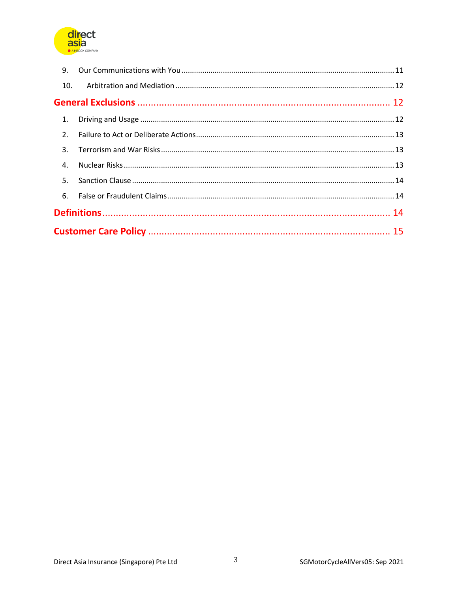

| 9.  |  |  |  |
|-----|--|--|--|
| 10. |  |  |  |
|     |  |  |  |
|     |  |  |  |
| 2.  |  |  |  |
|     |  |  |  |
|     |  |  |  |
| 5.  |  |  |  |
|     |  |  |  |
|     |  |  |  |
|     |  |  |  |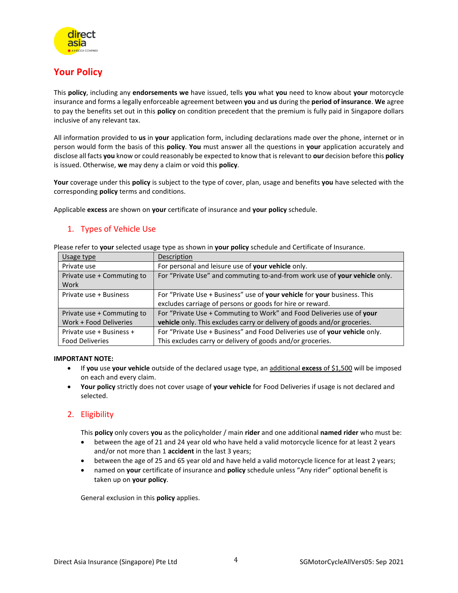

# <span id="page-3-0"></span>**Your Policy**

This **policy**, including any **endorsements we** have issued, tells **you** what **you** need to know about **your** motorcycle insurance and forms a legally enforceable agreement between **you** and **us** during the **period of insurance**. **We** agree to pay the benefits set out in this **policy** on condition precedent that the premium is fully paid in Singapore dollars inclusive of any relevant tax.

All information provided to **us** in **your** application form, including declarations made over the phone, internet or in person would form the basis of this **policy**. **You** must answer all the questions in **your** application accurately and disclose all facts **you** know or could reasonably be expected to know that is relevant to **our** decision before this **policy** is issued. Otherwise, **we** may deny a claim or void this **policy**.

**Your** coverage under this **policy** is subject to the type of cover, plan, usage and benefits **you** have selected with the corresponding **policy** terms and conditions.

Applicable **excess** are shown on **your** certificate of insurance and **your policy** schedule.

## <span id="page-3-1"></span>1. Types of Vehicle Use

| Please refer to your selected usage type as shown in your policy schedule and Certificate of Insurance. |             |  |  |
|---------------------------------------------------------------------------------------------------------|-------------|--|--|
| Usage type                                                                                              | Description |  |  |

| Usage type                 | Description                                                                |
|----------------------------|----------------------------------------------------------------------------|
| Private use                | For personal and leisure use of your vehicle only.                         |
| Private use + Commuting to | For "Private Use" and commuting to-and-from work use of your vehicle only. |
| Work                       |                                                                            |
| Private use + Business     | For "Private Use + Business" use of your vehicle for your business. This   |
|                            | excludes carriage of persons or goods for hire or reward.                  |
| Private use + Commuting to | For "Private Use + Commuting to Work" and Food Deliveries use of your      |
| Work + Food Deliveries     | vehicle only. This excludes carry or delivery of goods and/or groceries.   |
| Private use + Business +   | For "Private Use + Business" and Food Deliveries use of your vehicle only. |
| <b>Food Deliveries</b>     | This excludes carry or delivery of goods and/or groceries.                 |

#### **IMPORTANT NOTE:**

- If **you** use **your vehicle** outside of the declared usage type, an additional **excess** of \$1,500 will be imposed on each and every claim.
- **Your policy** strictly does not cover usage of **your vehicle** for Food Deliveries if usage is not declared and selected.

### <span id="page-3-2"></span>2. Eligibility

This **policy** only covers **you** as the policyholder / main **rider** and one additional **named rider** who must be:

- between the age of 21 and 24 year old who have held a valid motorcycle licence for at least 2 years and/or not more than 1 **accident** in the last 3 years;
- between the age of 25 and 65 year old and have held a valid motorcycle licence for at least 2 years;
- named on **your** certificate of insurance and **policy** schedule unless "Any rider" optional benefit is taken up on **your policy**.

General exclusion in this **policy** applies.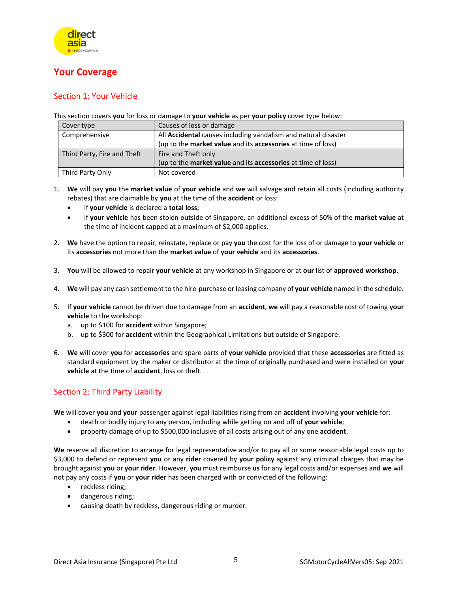

# <span id="page-4-0"></span>**Your Coverage**

### <span id="page-4-1"></span>Section 1: Your Vehicle

This section covers **you** for loss or damage to **your vehicle** as per **your policy** cover type below:

| Cover type                  | Causes of loss or damage                                                   |
|-----------------------------|----------------------------------------------------------------------------|
| Comprehensive               | All Accidental causes including vandalism and natural disaster             |
|                             | (up to the <b>market value</b> and its <b>accessories</b> at time of loss) |
| Third Party, Fire and Theft | Fire and Theft only                                                        |
|                             | (up to the <b>market value</b> and its <b>accessories</b> at time of loss) |
| Third Party Only            | Not covered                                                                |

- 1. **We** will pay **you** the **market value** of **your vehicle** and **we** will salvage and retain all costs (including authority rebates) that are claimable by **you** at the time of the **accident** or loss:
	- if **your vehicle** is declared a **total loss**;
	- if **your vehicle** has been stolen outside of Singapore, an additional excess of 50% of the **market value** at the time of incident capped at a maximum of \$2,000 applies.
- 2. **We** have the option to repair, reinstate, replace or pay **you** the cost for the loss of or damage to **your vehicle** or its **accessories** not more than the **market value** of **your vehicle** and its **accessories**.
- 3. **You** will be allowed to repair **your vehicle** at any workshop in Singapore or at **our** list of **approved workshop**.
- 4. **We** will pay any cash settlement to the hire-purchase or leasing company of **your vehicle** named in the schedule.
- 5. If **your vehicle** cannot be driven due to damage from an **accident**, **we** will pay a reasonable cost of towing **your vehicle** to the workshop:
	- a. up to \$100 for **accident** within Singapore;
	- b. up to \$300 for **accident** within the Geographical Limitations but outside of Singapore.
- 6. **We** will cover **you** for **accessories** and spare parts of **your vehicle** provided that these **accessories** are fitted as standard equipment by the maker or distributor at the time of originally purchased and were installed on **your vehicle** at the time of **accident**, loss or theft.

### <span id="page-4-2"></span>Section 2: Third Party Liability

**We** will cover **you** and **your** passenger against legal liabilities rising from an **accident** involving **your vehicle** for:

- death or bodily injury to any person, including while getting on and off of **your vehicle**;
- property damage of up to \$500,000 inclusive of all costs arising out of any one **accident**.

**We** reserve all discretion to arrange for legal representative and/or to pay all or some reasonable legal costs up to \$3,000 to defend or represent **you** or any **rider** covered by **your policy** against any criminal charges that may be brought against **you** or **your rider**. However, **you** must reimburse **us** for any legal costs and/or expenses and **we** will not pay any costs if **you** or **your rider** has been charged with or convicted of the following:

- reckless riding;
- dangerous riding;
- causing death by reckless, dangerous riding or murder.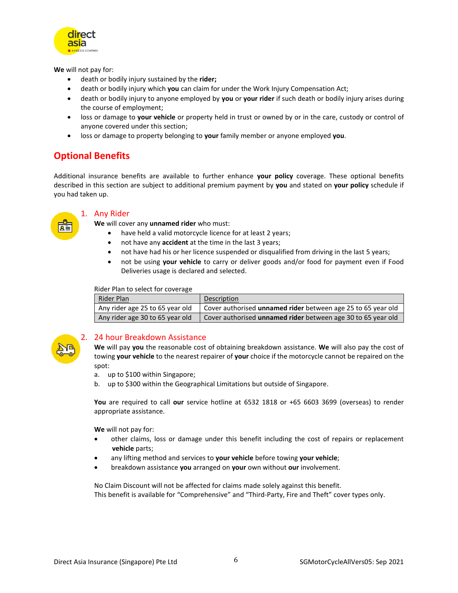

**We** will not pay for:

- death or bodily injury sustained by the **rider;**
- death or bodily injury which **you** can claim for under the Work Injury Compensation Act;
- death or bodily injury to anyone employed by **you** or **your rider** if such death or bodily injury arises during the course of employment;
- loss or damage to **your vehicle** or property held in trust or owned by or in the care, custody or control of anyone covered under this section;
- loss or damage to property belonging to **your** family member or anyone employed **you**.

# <span id="page-5-0"></span>**Optional Benefits**

Additional insurance benefits are available to further enhance **your policy** coverage. These optional benefits described in this section are subject to additional premium payment by **you** and stated on **your policy** schedule if you had taken up.

<span id="page-5-1"></span>

#### 1. Any Rider

**We** will cover any **unnamed rider** who must:

- have held a valid motorcycle licence for at least 2 years;
- not have any **accident** at the time in the last 3 years;
- not have had his or her licence suspended or disqualified from driving in the last 5 years;
- not be using **your vehicle** to carry or deliver goods and/or food for payment even if Food Deliveries usage is declared and selected.

Rider Plan to select for coverage

| Rider Plan                      | Description                                                  |
|---------------------------------|--------------------------------------------------------------|
| Any rider age 25 to 65 year old | Cover authorised unnamed rider between age 25 to 65 year old |
| Any rider age 30 to 65 year old | Cover authorised unnamed rider between age 30 to 65 year old |

<span id="page-5-2"></span>

#### 2. 24 hour Breakdown Assistance

**We** will pay **you** the reasonable cost of obtaining breakdown assistance. **We** will also pay the cost of towing **your vehicle** to the nearest repairer of **your** choice if the motorcycle cannot be repaired on the spot:

- a. up to \$100 within Singapore;
- b. up to \$300 within the Geographical Limitations but outside of Singapore.

**You** are required to call **our** service hotline at 6532 1818 or +65 6603 3699 (overseas) to render appropriate assistance.

**We** will not pay for:

- other claims, loss or damage under this benefit including the cost of repairs or replacement **vehicle** parts;
- any lifting method and services to **your vehicle** before towing **your vehicle**;
- breakdown assistance **you** arranged on **your** own without **our** involvement.

No Claim Discount will not be affected for claims made solely against this benefit. This benefit is available for "Comprehensive" and "Third-Party, Fire and Theft" cover types only.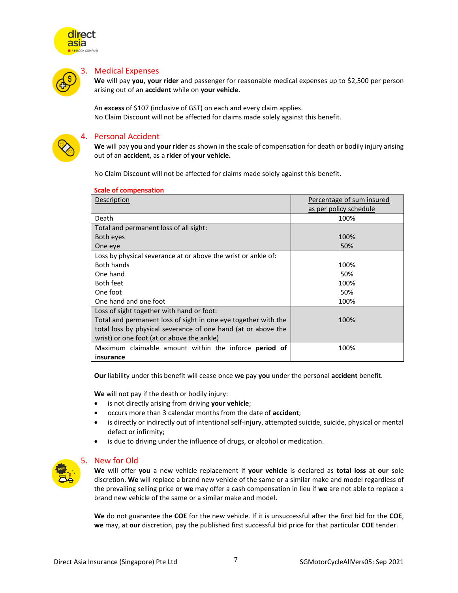

<span id="page-6-0"></span>

#### 3. Medical Expenses

**We** will pay **you**, **your rider** and passenger for reasonable medical expenses up to \$2,500 per person arising out of an **accident** while on **your vehicle**.

An **excess** of \$107 (inclusive of GST) on each and every claim applies. No Claim Discount will not be affected for claims made solely against this benefit.

<span id="page-6-1"></span>

#### 4. Personal Accident

**We** will pay **you** and **your rider** as shown in the scale of compensation for death or bodily injury arising out of an **accident**, as a **rider** of **your vehicle.** 

No Claim Discount will not be affected for claims made solely against this benefit.

| Description                                                    | Percentage of sum insured |
|----------------------------------------------------------------|---------------------------|
|                                                                | as per policy schedule    |
| Death                                                          | 100%                      |
| Total and permanent loss of all sight:                         |                           |
| Both eyes                                                      | 100%                      |
| One eye                                                        | 50%                       |
| Loss by physical severance at or above the wrist or ankle of:  |                           |
| <b>Both hands</b>                                              | 100%                      |
| One hand                                                       | 50%                       |
| Both feet                                                      | 100%                      |
| One foot                                                       | 50%                       |
| One hand and one foot                                          | 100%                      |
| Loss of sight together with hand or foot:                      |                           |
| Total and permanent loss of sight in one eye together with the | 100%                      |
| total loss by physical severance of one hand (at or above the  |                           |
| wrist) or one foot (at or above the ankle)                     |                           |
| Maximum claimable amount within the inforce period of          | 100%                      |
| insurance                                                      |                           |

#### **Scale of compensation**

**Our** liability under this benefit will cease once **we** pay **you** under the personal **accident** benefit.

**We** will not pay if the death or bodily injury:

- is not directly arising from driving **your vehicle**;
- occurs more than 3 calendar months from the date of **accident**;
- is directly or indirectly out of intentional self-injury, attempted suicide, suicide, physical or mental defect or infirmity;
- is due to driving under the influence of drugs, or alcohol or medication.

<span id="page-6-2"></span>

#### 5. New for Old

**We** will offer **you** a new vehicle replacement if **your vehicle** is declared as **total loss** at **our** sole discretion. **We** will replace a brand new vehicle of the same or a similar make and model regardless of the prevailing selling price or **we** may offer a cash compensation in lieu if **we** are not able to replace a brand new vehicle of the same or a similar make and model.

**We** do not guarantee the **COE** for the new vehicle. If it is unsuccessful after the first bid for the **COE**, **we** may, at **our** discretion, pay the published first successful bid price for that particular **COE** tender.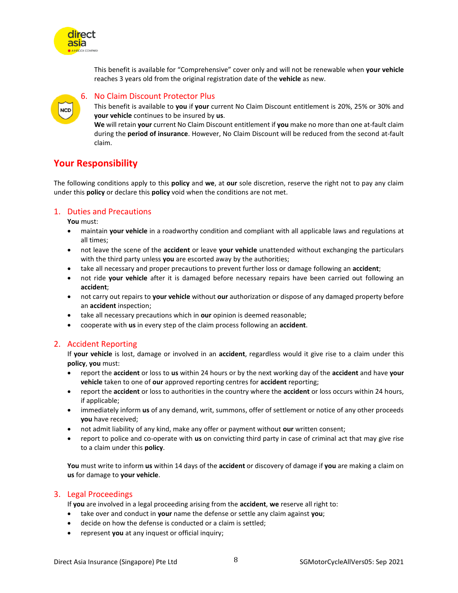

### 6. No Claim Discount Protector Plus

This benefit is available to **you** if **your** current No Claim Discount entitlement is 20%, 25% or 30% and **your vehicle** continues to be insured by **us**.

**We** will retain **your** current No Claim Discount entitlement if **you** make no more than one at-fault claim during the **period of insurance**. However, No Claim Discount will be reduced from the second at-fault claim.

# <span id="page-7-1"></span>**Your Responsibility**

The following conditions apply to this **policy** and **we**, at **our** sole discretion, reserve the right not to pay any claim under this **policy** or declare this **policy** void when the conditions are not met.

#### <span id="page-7-2"></span>1. Duties and Precautions

**You** must:

direct asia

<span id="page-7-0"></span>NCD

- maintain **your vehicle** in a roadworthy condition and compliant with all applicable laws and regulations at all times;
- not leave the scene of the **accident** or leave **your vehicle** unattended without exchanging the particulars with the third party unless **you** are escorted away by the authorities;
- take all necessary and proper precautions to prevent further loss or damage following an **accident**;
- not ride **your vehicle** after it is damaged before necessary repairs have been carried out following an **accident**;
- not carry out repairs to **your vehicle** without **our** authorization or dispose of any damaged property before an **accident** inspection;
- take all necessary precautions which in **our** opinion is deemed reasonable;
- cooperate with **us** in every step of the claim process following an **accident**.

#### <span id="page-7-3"></span>2. Accident Reporting

If **your vehicle** is lost, damage or involved in an **accident**, regardless would it give rise to a claim under this **policy**, **you** must:

- report the **accident** or loss to **us** within 24 hours or by the next working day of the **accident** and have **your vehicle** taken to one of **our** approved reporting centres for **accident** reporting;
- report the **accident** or loss to authorities in the country where the **accident** or loss occurs within 24 hours, if applicable;
- immediately inform **us** of any demand, writ, summons, offer of settlement or notice of any other proceeds **you** have received;
- not admit liability of any kind, make any offer or payment without **our** written consent;
- report to police and co-operate with **us** on convicting third party in case of criminal act that may give rise to a claim under this **policy**.

**You** must write to inform **us** within 14 days of the **accident** or discovery of damage if **you** are making a claim on **us** for damage to **your vehicle**.

#### <span id="page-7-4"></span>3. Legal Proceedings

If **you** are involved in a legal proceeding arising from the **accident**, **we** reserve all right to:

- take over and conduct in **your** name the defense or settle any claim against **you**;
- decide on how the defense is conducted or a claim is settled;
- represent **you** at any inquest or official inquiry;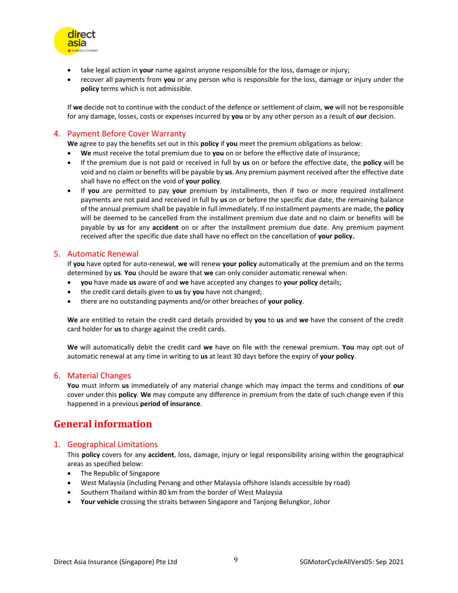

- take legal action in **your** name against anyone responsible for the loss, damage or injury;
- recover all payments from **you** or any person who is responsible for the loss, damage or injury under the **policy** terms which is not admissible.

If **we** decide not to continue with the conduct of the defence or settlement of claim, **we** will not be responsible for any damage, losses, costs or expenses incurred by **you** or by any other person as a result of **our** decision.

#### <span id="page-8-0"></span>4. Payment Before Cover Warranty

**We** agree to pay the benefits set out in this **policy** if **you** meet the premium obligations as below:

- **We** must receive the total premium due to **you** on or before the effective date of insurance;
- If the premium due is not paid or received in full by **us** on or before the effective date, the **policy** will be void and no claim or benefits will be payable by **us**. Any premium payment received after the effective date shall have no effect on the void of **your policy**.
- If **you** are permitted to pay **your** premium by installments, then if two or more required installment payments are not paid and received in full by **us** on or before the specific due date, the remaining balance of the annual premium shall be payable in full immediately. If no installment payments are made, the **policy** will be deemed to be cancelled from the installment premium due date and no claim or benefits will be payable by **us** for any **accident** on or after the installment premium due date. Any premium payment received after the specific due date shall have no effect on the cancellation of **your policy.**

#### <span id="page-8-1"></span>5. Automatic Renewal

If **you** have opted for auto-renewal, **we** will renew **your policy** automatically at the premium and on the terms determined by **us**. **You** should be aware that **we** can only consider automatic renewal when:

- **you** have made **us** aware of and **we** have accepted any changes to **your policy** details;
- the credit card details given to **us** by **you** have not changed;
- there are no outstanding payments and/or other breaches of **your policy**.

**We** are entitled to retain the credit card details provided by **you** to **us** and **we** have the consent of the credit card holder for **us** to charge against the credit cards.

**We** will automatically debit the credit card **we** have on file with the renewal premium. **You** may opt out of automatic renewal at any time in writing to **us** at least 30 days before the expiry of **your policy**.

#### <span id="page-8-2"></span>6. Material Changes

**You** must inform **us** immediately of any material change which may impact the terms and conditions of **our** cover under this **policy**. **We** may compute any difference in premium from the date of such change even if this happened in a previous **period of insurance**.

# <span id="page-8-3"></span>**General information**

#### <span id="page-8-4"></span>1. Geographical Limitations

This **policy** covers for any **accident**, loss, damage, injury or legal responsibility arising within the geographical areas as specified below:

- The Republic of Singapore
- West Malaysia (including Penang and other Malaysia offshore islands accessible by road)
- Southern Thailand within 80 km from the border of West Malaysia
- **Your vehicle** crossing the straits between Singapore and Tanjong Belungkor, Johor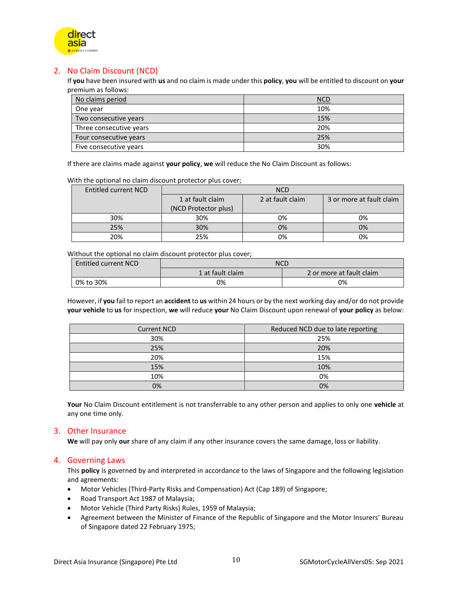

### <span id="page-9-0"></span>2. No Claim Discount (NCD)

If **you** have been insured with **us** and no claim is made under this **policy**, **you** will be entitled to discount on **your** premium as follows:

| No claims period        | <b>NCD</b> |
|-------------------------|------------|
| One year                | 10%        |
| Two consecutive years   | 15%        |
| Three consecutive years | 20%        |
| Four consecutive years  | 25%        |
| Five consecutive years  | 30%        |

If there are claims made against **your policy**, **we** will reduce the No Claim Discount as follows:

With the optional no claim discount protector plus cover;

| Entitled current NCD | <b>NCD</b>           |                  |                          |
|----------------------|----------------------|------------------|--------------------------|
|                      | 1 at fault claim     | 2 at fault claim | 3 or more at fault claim |
|                      | (NCD Protector plus) |                  |                          |
| 30%                  | 30%                  | 0%               | 0%                       |
| 25%                  | 30%                  | 0%               | 0%                       |
| 20%                  | 25%                  | 0%               | 0%                       |

Without the optional no claim discount protector plus cover;

| <b>Entitled current NCD</b> | <b>NCD</b>       |                          |  |
|-----------------------------|------------------|--------------------------|--|
|                             | 1 at fault claim | 2 or more at fault claim |  |
| 0% to 30%                   | 0%               | 0%                       |  |

However, if **you** fail to report an **accident** to **us** within 24 hours or by the next working day and/or do not provide **your vehicle** to **us** for inspection, **we** will reduce **your** No Claim Discount upon renewal of **your policy** as below:

| <b>Current NCD</b> | Reduced NCD due to late reporting |
|--------------------|-----------------------------------|
| 30%                | 25%                               |
| 25%                | 20%                               |
| 20%                | 15%                               |
| 15%                | 10%                               |
| 10%                | 0%                                |
| 0%                 | 0%                                |

**Your** No Claim Discount entitlement is not transferrable to any other person and applies to only one **vehicle** at any one time only.

#### <span id="page-9-1"></span>3. Other Insurance

**We** will pay only **our** share of any claim if any other insurance covers the same damage, loss or liability.

#### <span id="page-9-2"></span>4. Governing Laws

This **policy** is governed by and interpreted in accordance to the laws of Singapore and the following legislation and agreements:

- Motor Vehicles (Third-Party Risks and Compensation) Act (Cap 189) of Singapore;
- Road Transport Act 1987 of Malaysia;
- Motor Vehicle (Third Party Risks) Rules, 1959 of Malaysia;
- Agreement between the Minister of Finance of the Republic of Singapore and the Motor Insurers' Bureau of Singapore dated 22 February 1975;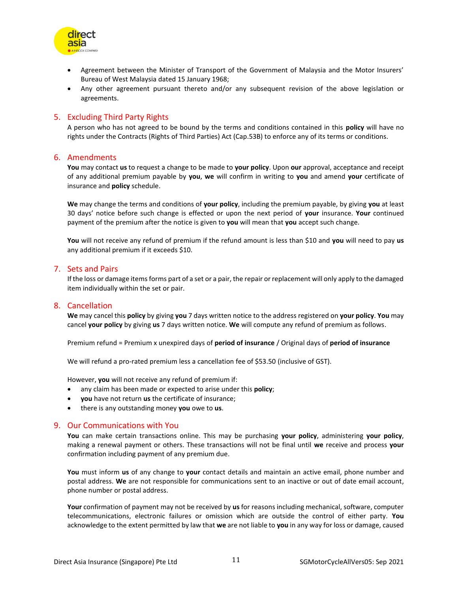

- Agreement between the Minister of Transport of the Government of Malaysia and the Motor Insurers' Bureau of West Malaysia dated 15 January 1968;
- Any other agreement pursuant thereto and/or any subsequent revision of the above legislation or agreements.

#### <span id="page-10-0"></span>5. Excluding Third Party Rights

A person who has not agreed to be bound by the terms and conditions contained in this **policy** will have no rights under the Contracts (Rights of Third Parties) Act (Cap.53B) to enforce any of its terms or conditions.

#### <span id="page-10-1"></span>6. Amendments

**You** may contact **us** to request a change to be made to **your policy**. Upon **our** approval, acceptance and receipt of any additional premium payable by **you**, **we** will confirm in writing to **you** and amend **your** certificate of insurance and **policy** schedule.

**We** may change the terms and conditions of **your policy**, including the premium payable, by giving **you** at least 30 days' notice before such change is effected or upon the next period of **your** insurance. **Your** continued payment of the premium after the notice is given to **you** will mean that **you** accept such change.

**You** will not receive any refund of premium if the refund amount is less than \$10 and **you** will need to pay **us** any additional premium if it exceeds \$10.

#### <span id="page-10-2"></span>7. Sets and Pairs

If the loss or damage items forms part of a set or a pair, the repair or replacement will only apply to the damaged item individually within the set or pair.

#### <span id="page-10-3"></span>8. Cancellation

**We** may cancel this **policy** by giving **you** 7 days written notice to the address registered on **your policy**. **You** may cancel **your policy** by giving **us** 7 days written notice. **We** will compute any refund of premium as follows.

Premium refund = Premium x unexpired days of **period of insurance** / Original days of **period of insurance**

We will refund a pro-rated premium less a cancellation fee of \$53.50 (inclusive of GST).

However, **you** will not receive any refund of premium if:

- any claim has been made or expected to arise under this **policy**;
- **you** have not return **us** the certificate of insurance;
- there is any outstanding money **you** owe to **us**.

#### <span id="page-10-4"></span>9. Our Communications with You

**You** can make certain transactions online. This may be purchasing **your policy**, administering **your policy**, making a renewal payment or others. These transactions will not be final until **we** receive and process **your** confirmation including payment of any premium due.

**You** must inform **us** of any change to **your** contact details and maintain an active email, phone number and postal address. **We** are not responsible for communications sent to an inactive or out of date email account, phone number or postal address.

**Your** confirmation of payment may not be received by **us** for reasons including mechanical, software, computer telecommunications, electronic failures or omission which are outside the control of either party. **You** acknowledge to the extent permitted by law that **we** are not liable to **you** in any way for loss or damage, caused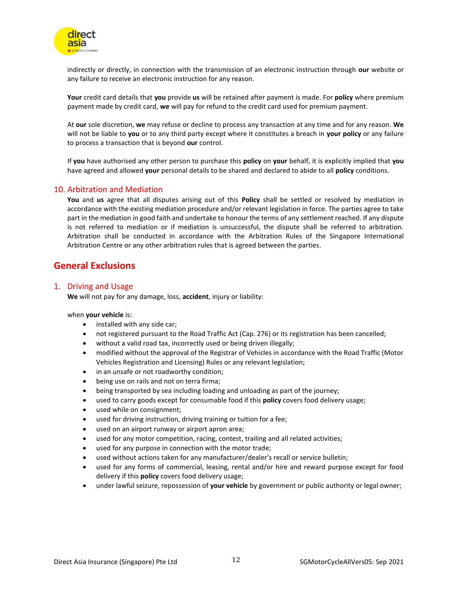

indirectly or directly, in connection with the transmission of an electronic instruction through **our** website or any failure to receive an electronic instruction for any reason.

**Your** credit card details that **you** provide **us** will be retained after payment is made. For **policy** where premium payment made by credit card, **we** will pay for refund to the credit card used for premium payment.

At **our** sole discretion, **we** may refuse or decline to process any transaction at any time and for any reason. **We** will not be liable to **you** or to any third party except where it constitutes a breach in **your policy** or any failure to process a transaction that is beyond **our** control.

If **you** have authorised any other person to purchase this **policy** on **your** behalf, it is explicitly implied that **you** have agreed and allowed **your** personal details to be shared and declared to abide to all **policy** conditions.

#### <span id="page-11-0"></span>10. Arbitration and Mediation

**You** and **us** agree that all disputes arising out of this **Policy** shall be settled or resolved by mediation in accordance with the existing mediation procedure and/or relevant legislation in force. The parties agree to take part in the mediation in good faith and undertake to honour the terms of any settlement reached. If any dispute is not referred to mediation or if mediation is unsuccessful, the dispute shall be referred to arbitration. Arbitration shall be conducted in accordance with the Arbitration Rules of the Singapore International Arbitration Centre or any other arbitration rules that is agreed between the parties.

## <span id="page-11-1"></span>**General Exclusions**

#### <span id="page-11-2"></span>1. Driving and Usage

**We** will not pay for any damage, loss, **accident**, injury or liability:

#### when **your vehicle** is:

- installed with any side car;
- not registered pursuant to the Road Traffic Act (Cap. 276) or its registration has been cancelled;
- without a valid road tax, incorrectly used or being driven illegally;
- modified without the approval of the Registrar of Vehicles in accordance with the Road Traffic (Motor Vehicles Registration and Licensing) Rules or any relevant legislation;
- in an unsafe or not roadworthy condition;
- being use on rails and not on terra firma;
- being transported by sea including loading and unloading as part of the journey;
- used to carry goods except for consumable food if this **policy** covers food delivery usage;
- used while on consignment;
- used for driving instruction, driving training or tuition for a fee;
- used on an airport runway or airport apron area;
- used for any motor competition, racing, contest, trailing and all related activities;
- used for any purpose in connection with the motor trade;
- used without actions taken for any manufacturer/dealer's recall or service bulletin;
- used for any forms of commercial, leasing, rental and/or hire and reward purpose except for food delivery if this **policy** covers food delivery usage;
- under lawful seizure, repossession of **your vehicle** by government or public authority or legal owner;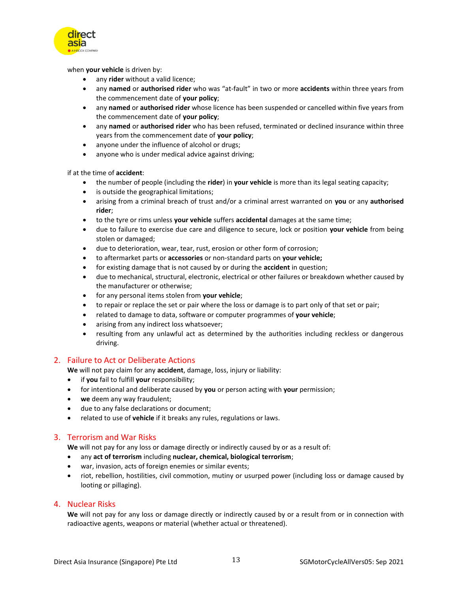

when **your vehicle** is driven by:

- any **rider** without a valid licence;
- any **named** or **authorised rider** who was "at-fault" in two or more **accidents** within three years from the commencement date of **your policy**;
- any **named** or **authorised rider** whose licence has been suspended or cancelled within five years from the commencement date of **your policy**;
- any **named** or **authorised rider** who has been refused, terminated or declined insurance within three years from the commencement date of **your policy**;
- anyone under the influence of alcohol or drugs;
- anyone who is under medical advice against driving;

if at the time of **accident**:

- the number of people (including the **rider**) in **your vehicle** is more than its legal seating capacity;
- is outside the geographical limitations;
- arising from a criminal breach of trust and/or a criminal arrest warranted on **you** or any **authorised rider**;
- to the tyre or rims unless **your vehicle** suffers **accidental** damages at the same time;
- due to failure to exercise due care and diligence to secure, lock or position **your vehicle** from being stolen or damaged;
- due to deterioration, wear, tear, rust, erosion or other form of corrosion;
- to aftermarket parts or **accessories** or non-standard parts on **your vehicle;**
- for existing damage that is not caused by or during the **accident** in question;
- due to mechanical, structural, electronic, electrical or other failures or breakdown whether caused by the manufacturer or otherwise;
- for any personal items stolen from **your vehicle**;
- to repair or replace the set or pair where the loss or damage is to part only of that set or pair;
- related to damage to data, software or computer programmes of **your vehicle**;
- arising from any indirect loss whatsoever;
- resulting from any unlawful act as determined by the authorities including reckless or dangerous driving.

#### <span id="page-12-0"></span>2. Failure to Act or Deliberate Actions

**We** will not pay claim for any **accident**, damage, loss, injury or liability:

- if **you** fail to fulfill **your** responsibility;
- for intentional and deliberate caused by **you** or person acting with **your** permission;
- **we** deem any way fraudulent;
- due to any false declarations or document;
- related to use of **vehicle** if it breaks any rules, regulations or laws.

#### <span id="page-12-1"></span>3. Terrorism and War Risks

**We** will not pay for any loss or damage directly or indirectly caused by or as a result of:

- any **act of terrorism** including **nuclear, chemical, biological terrorism**;
- war, invasion, acts of foreign enemies or similar events;
- riot, rebellion, hostilities, civil commotion, mutiny or usurped power (including loss or damage caused by looting or pillaging).

#### <span id="page-12-2"></span>4. Nuclear Risks

**We** will not pay for any loss or damage directly or indirectly caused by or a result from or in connection with radioactive agents, weapons or material (whether actual or threatened).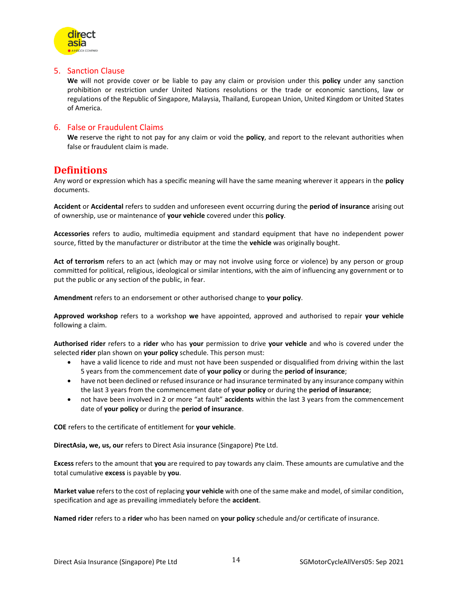

#### <span id="page-13-0"></span>5. Sanction Clause

**We** will not provide cover or be liable to pay any claim or provision under this **policy** under any sanction prohibition or restriction under United Nations resolutions or the trade or economic sanctions, law or regulations of the Republic of Singapore, Malaysia, Thailand, European Union, United Kingdom or United States of America.

#### <span id="page-13-1"></span>6. False or Fraudulent Claims

**We** reserve the right to not pay for any claim or void the **policy**, and report to the relevant authorities when false or fraudulent claim is made.

# <span id="page-13-2"></span>**Definitions**

Any word or expression which has a specific meaning will have the same meaning wherever it appears in the **policy** documents.

**Accident** or **Accidental** refers to sudden and unforeseen event occurring during the **period of insurance** arising out of ownership, use or maintenance of **your vehicle** covered under this **policy**.

**Accessories** refers to audio, multimedia equipment and standard equipment that have no independent power source, fitted by the manufacturer or distributor at the time the **vehicle** was originally bought.

**Act of terrorism** refers to an act (which may or may not involve using force or violence) by any person or group committed for political, religious, ideological or similar intentions, with the aim of influencing any government or to put the public or any section of the public, in fear.

**Amendment** refers to an endorsement or other authorised change to **your policy**.

**Approved workshop** refers to a workshop **we** have appointed, approved and authorised to repair **your vehicle** following a claim.

**Authorised rider** refers to a **rider** who has **your** permission to drive **your vehicle** and who is covered under the selected **rider** plan shown on **your policy** schedule. This person must:

- have a valid licence to ride and must not have been suspended or disqualified from driving within the last 5 years from the commencement date of **your policy** or during the **period of insurance**;
- have not been declined or refused insurance or had insurance terminated by any insurance company within the last 3 years from the commencement date of **your policy** or during the **period of insurance**;
- not have been involved in 2 or more "at fault" **accidents** within the last 3 years from the commencement date of **your policy** or during the **period of insurance**.

**COE** refers to the certificate of entitlement for **your vehicle**.

**DirectAsia, we, us, our** refers to Direct Asia insurance (Singapore) Pte Ltd.

**Excess** refers to the amount that **you** are required to pay towards any claim. These amounts are cumulative and the total cumulative **excess** is payable by **you**.

**Market value** refers to the cost of replacing **your vehicle** with one of the same make and model, of similar condition, specification and age as prevailing immediately before the **accident**.

**Named rider** refers to a **rider** who has been named on **your policy** schedule and/or certificate of insurance.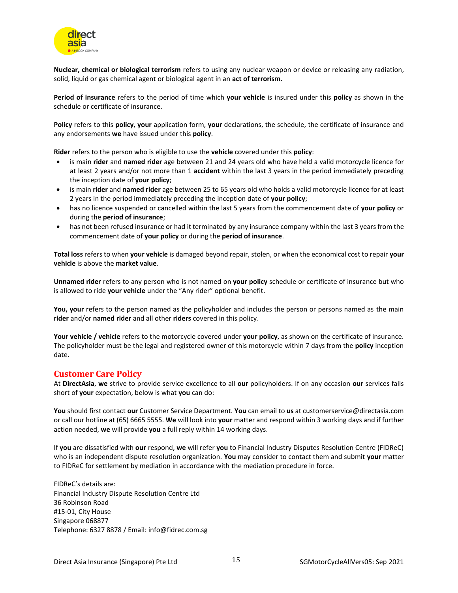

**Nuclear, chemical or biological terrorism** refers to using any nuclear weapon or device or releasing any radiation, solid, liquid or gas chemical agent or biological agent in an **act of terrorism**.

**Period of insurance** refers to the period of time which **your vehicle** is insured under this **policy** as shown in the schedule or certificate of insurance.

**Policy** refers to this **policy**, **your** application form, **your** declarations, the schedule, the certificate of insurance and any endorsements **we** have issued under this **policy**.

**Rider** refers to the person who is eligible to use the **vehicle** covered under this **policy**:

- is main **rider** and **named rider** age between 21 and 24 years old who have held a valid motorcycle licence for at least 2 years and/or not more than 1 **accident** within the last 3 years in the period immediately preceding the inception date of **your policy**;
- is main **rider** and **named rider** age between 25 to 65 years old who holds a valid motorcycle licence for at least 2 years in the period immediately preceding the inception date of **your policy**;
- has no licence suspended or cancelled within the last 5 years from the commencement date of **your policy** or during the **period of insurance**;
- has not been refused insurance or had it terminated by any insurance company within the last 3 years from the commencement date of **your policy** or during the **period of insurance**.

**Total loss** refers to when **your vehicle** is damaged beyond repair, stolen, or when the economical cost to repair **your vehicle** is above the **market value**.

**Unnamed rider** refers to any person who is not named on **your policy** schedule or certificate of insurance but who is allowed to ride **your vehicle** under the "Any rider" optional benefit.

**You, your** refers to the person named as the policyholder and includes the person or persons named as the main **rider** and/or **named rider** and all other **riders** covered in this policy.

**Your vehicle / vehicle** refers to the motorcycle covered under **your policy**, as shown on the certificate of insurance. The policyholder must be the legal and registered owner of this motorcycle within 7 days from the **policy** inception date.

#### <span id="page-14-0"></span>**Customer Care Policy**

At **DirectAsia**, **we** strive to provide service excellence to all **our** policyholders. If on any occasion **our** services falls short of **your** expectation, below is what **you** can do:

**You** should first contact **our** Customer Service Department. **You** can email to **us** at customerservice@directasia.com or call our hotline at (65) 6665 5555. **We** will look into **your** matter and respond within 3 working days and if further action needed, **we** will provide **you** a full reply within 14 working days.

If **you** are dissatisfied with **our** respond, **we** will refer **you** to Financial Industry Disputes Resolution Centre (FIDReC) who is an independent dispute resolution organization. **You** may consider to contact them and submit **your** matter to FIDReC for settlement by mediation in accordance with the mediation procedure in force.

FIDReC's details are: Financial Industry Dispute Resolution Centre Ltd 36 Robinson Road #15-01, City House Singapore 068877 Telephone: 6327 8878 / Email: info@fidrec.com.sg